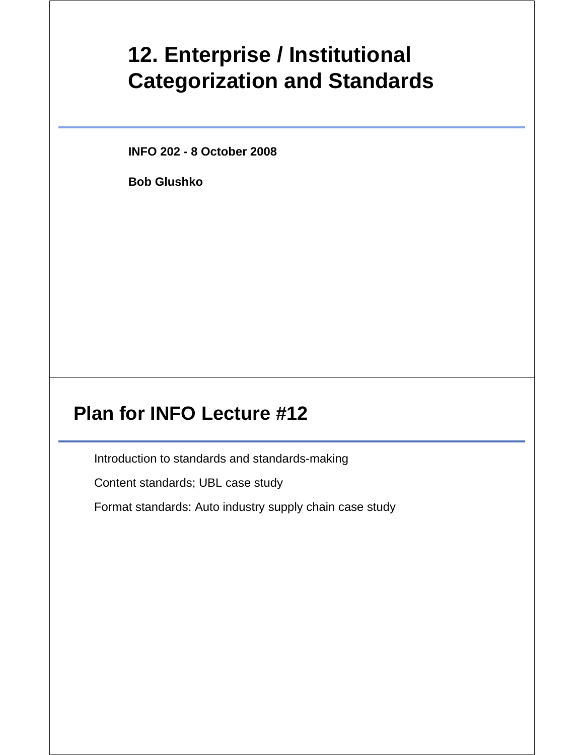# **12. Enterprise / Institutional Categorization and Standards**

**INFO 202 - 8 October 2008**

**Bob Glushko**

## **Plan for INFO Lecture #12**

Introduction to standards and standards-making

Content standards; UBL case study

Format standards: Auto industry supply chain case study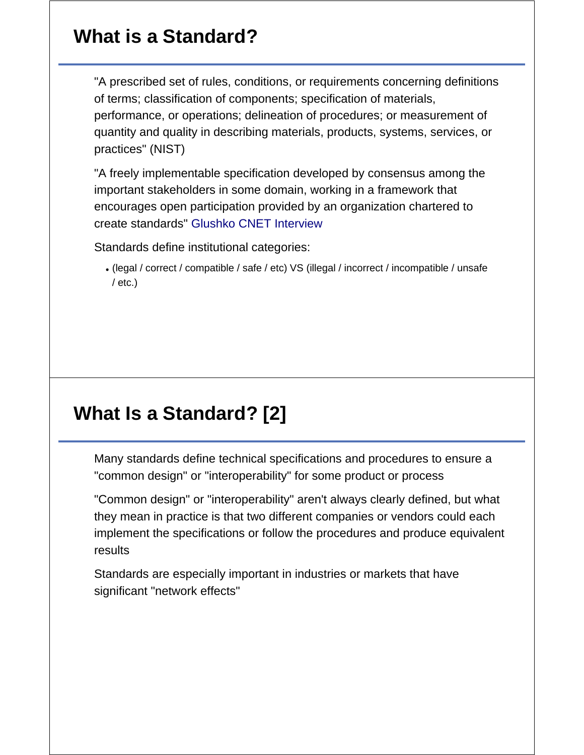## **What is a Standard?**

"A prescribed set of rules, conditions, or requirements concerning definitions of terms; classification of components; specification of materials, performance, or operations; delineation of procedures; or measurement of quantity and quality in describing materials, products, systems, services, or practices" (NIST)

"A freely implementable specification developed by consensus among the important stakeholders in some domain, working in a framework that encourages open participation provided by an organization chartered to create standards" Glushko CNET Interview

Standards define institutional categories:

(legal / correct / compatible / safe / etc) VS (illegal / incorrect / incompatible / unsafe  $/$  etc.)

## **What Is a Standard? [2]**

Many standards define technical specifications and procedures to ensure a "common design" or "interoperability" for some product or process

"Common design" or "interoperability" aren't always clearly defined, but what they mean in practice is that two different companies or vendors could each implement the specifications or follow the procedures and produce equivalent results

Standards are especially important in industries or markets that have significant "network effects"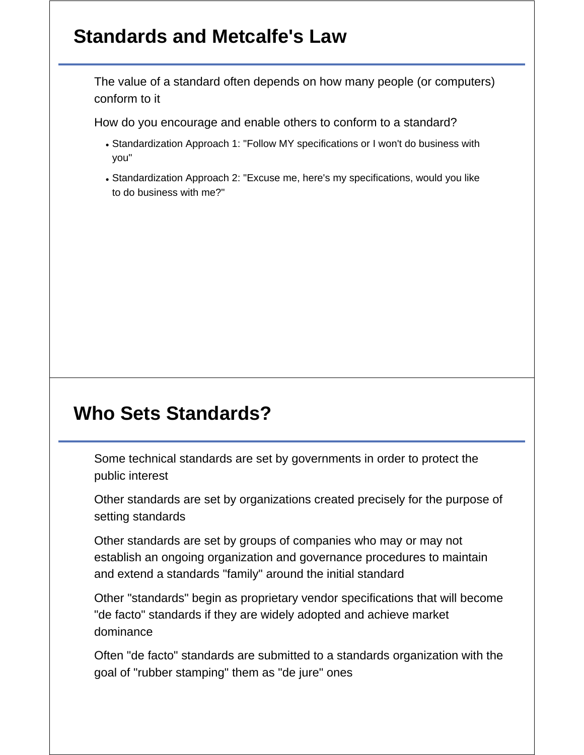## **Standards and Metcalfe's Law**

The value of a standard often depends on how many people (or computers) conform to it

How do you encourage and enable others to conform to a standard?

- Standardization Approach 1: "Follow MY specifications or I won't do business with you"
- Standardization Approach 2: "Excuse me, here's my specifications, would you like to do business with me?"

## **Who Sets Standards?**

Some technical standards are set by governments in order to protect the public interest

Other standards are set by organizations created precisely for the purpose of setting standards

Other standards are set by groups of companies who may or may not establish an ongoing organization and governance procedures to maintain and extend a standards "family" around the initial standard

Other "standards" begin as proprietary vendor specifications that will become "de facto" standards if they are widely adopted and achieve market dominance

Often "de facto" standards are submitted to a standards organization with the goal of "rubber stamping" them as "de jure" ones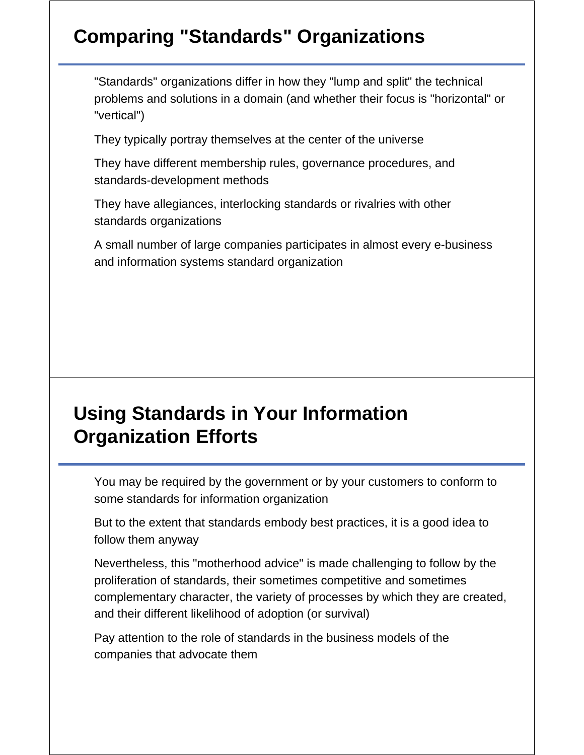# **Comparing "Standards" Organizations**

"Standards" organizations differ in how they "lump and split" the technical problems and solutions in a domain (and whether their focus is "horizontal" or "vertical")

They typically portray themselves at the center of the universe

They have different membership rules, governance procedures, and standards-development methods

They have allegiances, interlocking standards or rivalries with other standards organizations

A small number of large companies participates in almost every e-business and information systems standard organization

## **Using Standards in Your Information Organization Efforts**

You may be required by the government or by your customers to conform to some standards for information organization

But to the extent that standards embody best practices, it is a good idea to follow them anyway

Nevertheless, this "motherhood advice" is made challenging to follow by the proliferation of standards, their sometimes competitive and sometimes complementary character, the variety of processes by which they are created, and their different likelihood of adoption (or survival)

Pay attention to the role of standards in the business models of the companies that advocate them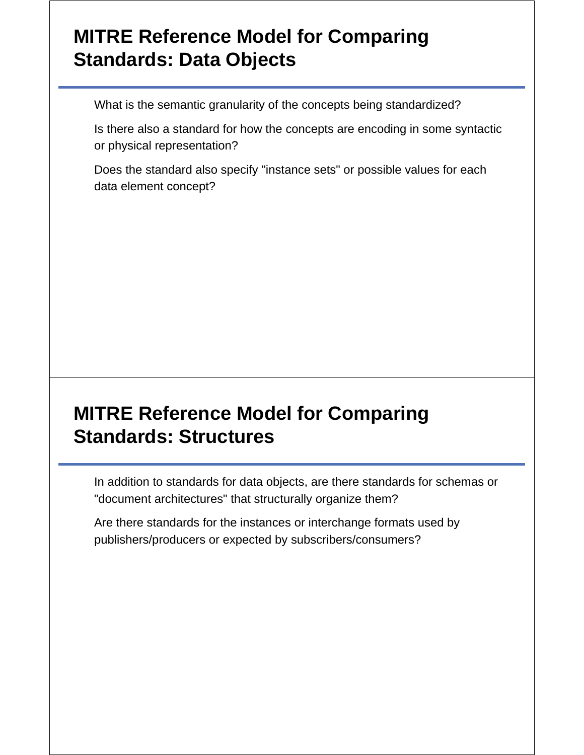## **MITRE Reference Model for Comparing Standards: Data Objects**

What is the semantic granularity of the concepts being standardized?

Is there also a standard for how the concepts are encoding in some syntactic or physical representation?

Does the standard also specify "instance sets" or possible values for each data element concept?

## **MITRE Reference Model for Comparing Standards: Structures**

In addition to standards for data objects, are there standards for schemas or "document architectures" that structurally organize them?

Are there standards for the instances or interchange formats used by publishers/producers or expected by subscribers/consumers?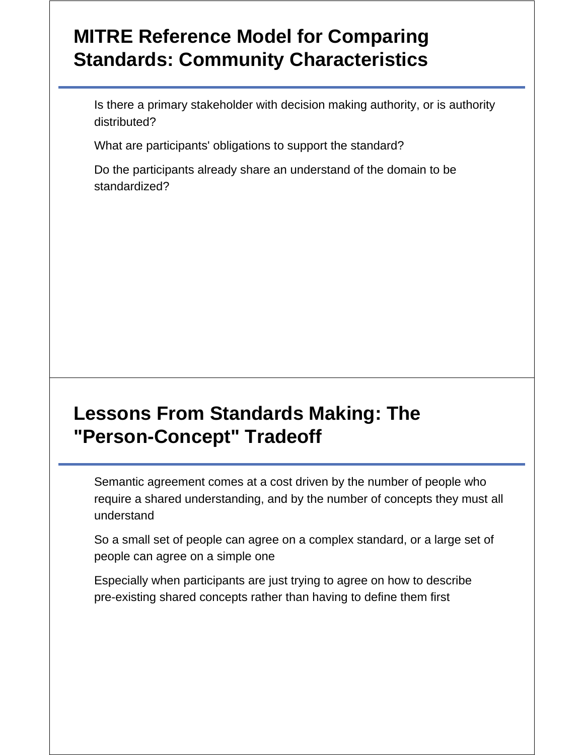## **MITRE Reference Model for Comparing Standards: Community Characteristics**

Is there a primary stakeholder with decision making authority, or is authority distributed?

What are participants' obligations to support the standard?

Do the participants already share an understand of the domain to be standardized?

## **Lessons From Standards Making: The "Person-Concept" Tradeoff**

Semantic agreement comes at a cost driven by the number of people who require a shared understanding, and by the number of concepts they must all understand

So a small set of people can agree on a complex standard, or a large set of people can agree on a simple one

Especially when participants are just trying to agree on how to describe pre-existing shared concepts rather than having to define them first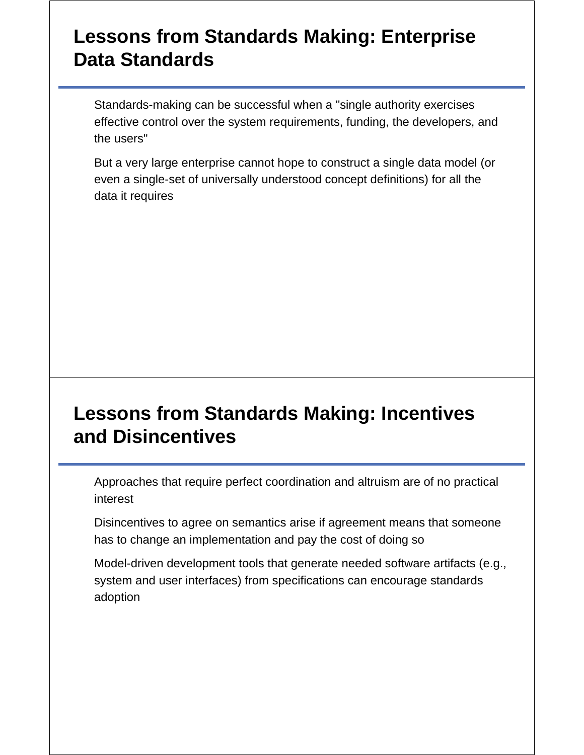### **Lessons from Standards Making: Enterprise Data Standards**

Standards-making can be successful when a "single authority exercises effective control over the system requirements, funding, the developers, and the users"

But a very large enterprise cannot hope to construct a single data model (or even a single-set of universally understood concept definitions) for all the data it requires

## **Lessons from Standards Making: Incentives and Disincentives**

Approaches that require perfect coordination and altruism are of no practical interest

Disincentives to agree on semantics arise if agreement means that someone has to change an implementation and pay the cost of doing so

Model-driven development tools that generate needed software artifacts (e.g., system and user interfaces) from specifications can encourage standards adoption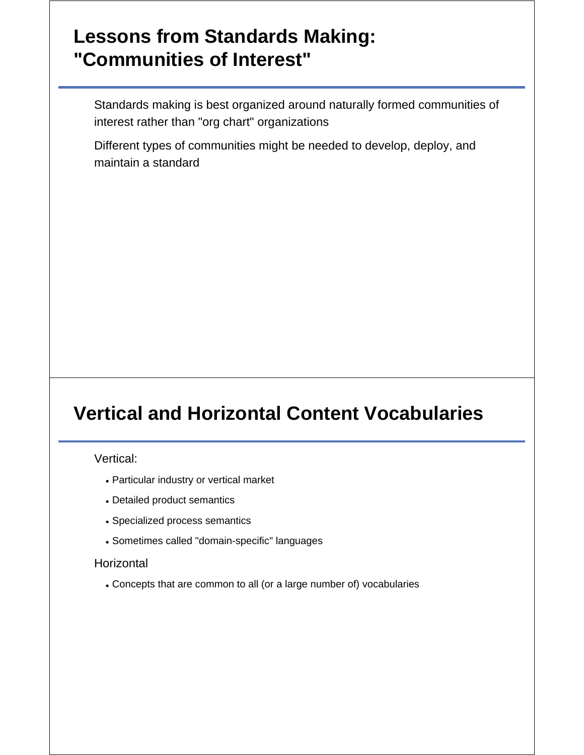#### **Lessons from Standards Making: "Communities of Interest"**

Standards making is best organized around naturally formed communities of interest rather than "org chart" organizations

Different types of communities might be needed to develop, deploy, and maintain a standard

## **Vertical and Horizontal Content Vocabularies**

Vertical:

- Particular industry or vertical market
- Detailed product semantics
- Specialized process semantics
- Sometimes called "domain-specific" languages

#### **Horizontal**

Concepts that are common to all (or a large number of) vocabularies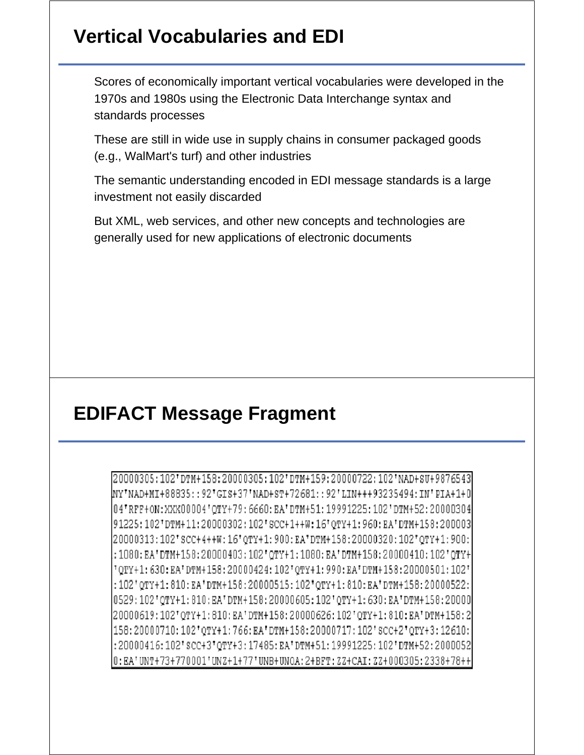## **Vertical Vocabularies and EDI**

Scores of economically important vertical vocabularies were developed in the 1970s and 1980s using the Electronic Data Interchange syntax and standards processes

These are still in wide use in supply chains in consumer packaged goods (e.g., WalMart's turf) and other industries

The semantic understanding encoded in EDI message standards is a large investment not easily discarded

But XML, web services, and other new concepts and technologies are generally used for new applications of electronic documents

## **EDIFACT Message Fragment**

20000305:102'DTM+158:20000305:102'DTM+159:20000722:102'NAD+SU+9876543 [NY'NAD+MI+88835::92'GIS+37'NAD+ST+72681::92'LIN+++93235494:IN'PIA+1+0 04'RFF+ON:XXX00004'QTY+79:6660:EA'DTM+51:19991225:102'DTM+52:20000304 91225:102'DTM+11:20000302:102'SCC+1++W:16'QTY+1:960:EA'DTM+158:200003 20000313:102'sCC+4++W:16'oTY+1:900:EA'DTM+158:20000320:102'OTY+1:900: :1080: EA'DTM+158:20000403:102'QTY+1:1080: EA'DTM+158:20000410:102'QTY+ "QTY+1:630:EA'DTM+158:20000424:102'QTY+1:990:EA'DTM+158:20000501:102' :102'QTY+1:810:EA'DTM+158:20000515:102'QTY+1:810:EA'DTM+158:20000522: 0529:102'QTY+1:810:EA'DTM+158:20000605:102'QTY+1:630:EA'DTM+158:20000 20000619:102'QTY+1:810:EA'DTM+158:20000626:102'QTY+1:810:EA'DTM+158:2 158:20000710:102'0TY+1:766:EA'DTM+158:20000717:102'SCC+2'0TY+3:12610: :20000416:102'SCC+3'OTY+3:17485:EA'DTM+51:19991225:102'DTM+52:2000052 0:EA'UNT+73+770001'UNZ+1+77'UNB+UNOA:2+BFT:2Z+CAI:2Z+000305:2338+78++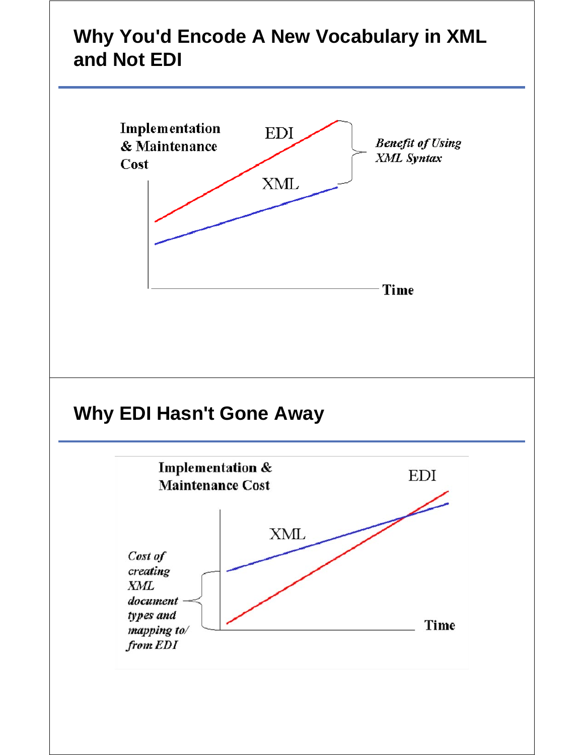# **Why You'd Encode A New Vocabulary in XML and Not EDI**

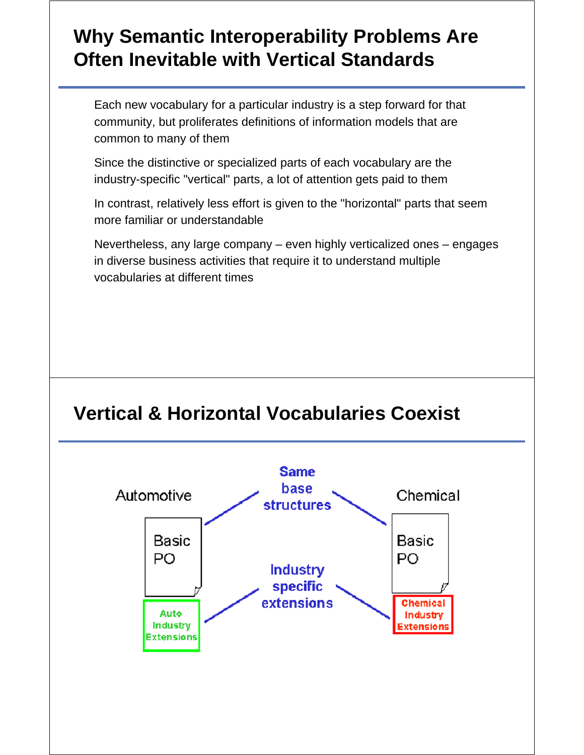# **Why Semantic Interoperability Problems Are Often Inevitable with Vertical Standards**

Each new vocabulary for a particular industry is a step forward for that community, but proliferates definitions of information models that are common to many of them

Since the distinctive or specialized parts of each vocabulary are the industry-specific "vertical" parts, a lot of attention gets paid to them

In contrast, relatively less effort is given to the "horizontal" parts that seem more familiar or understandable

Nevertheless, any large company – even highly verticalized ones – engages in diverse business activities that require it to understand multiple vocabularies at different times

## **Vertical & Horizontal Vocabularies Coexist**

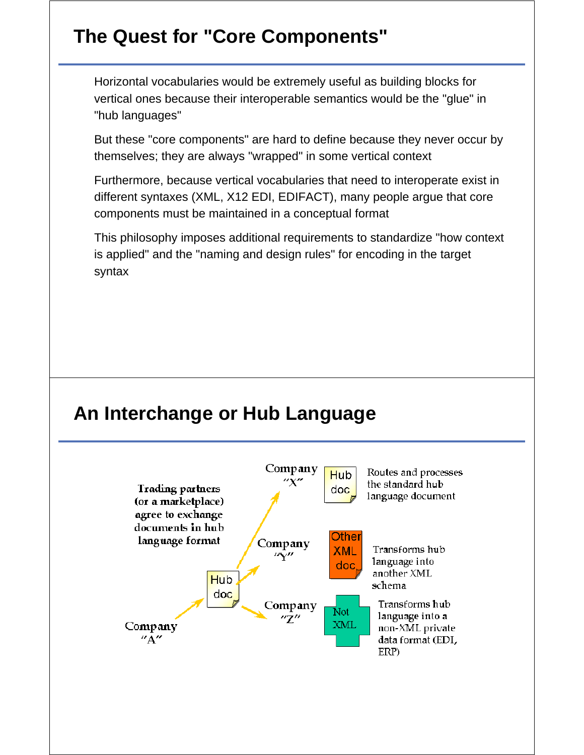# **The Quest for "Core Components"**

Horizontal vocabularies would be extremely useful as building blocks for vertical ones because their interoperable semantics would be the "glue" in "hub languages"

But these "core components" are hard to define because they never occur by themselves; they are always "wrapped" in some vertical context

Furthermore, because vertical vocabularies that need to interoperate exist in different syntaxes (XML, X12 EDI, EDIFACT), many people argue that core components must be maintained in a conceptual format

This philosophy imposes additional requirements to standardize "how context is applied" and the "naming and design rules" for encoding in the target syntax

## **An Interchange or Hub Language**

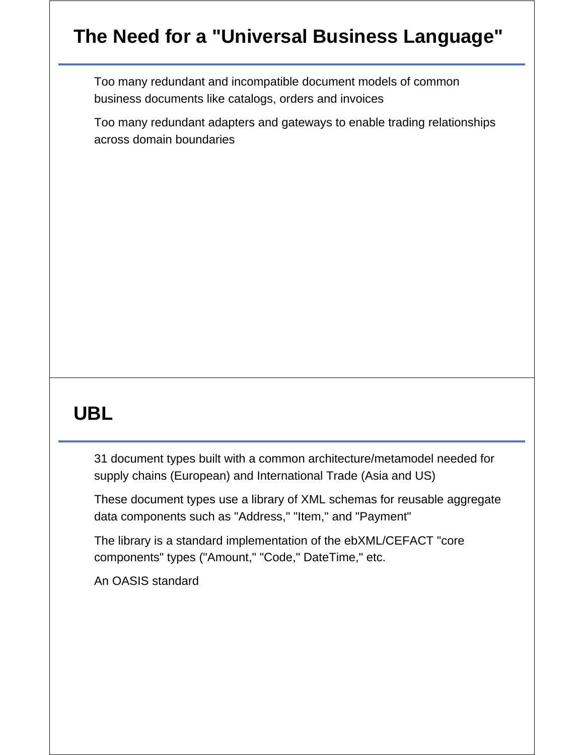# **The Need for a "Universal Business Language"**

Too many redundant and incompatible document models of common business documents like catalogs, orders and invoices

Too many redundant adapters and gateways to enable trading relationships across domain boundaries

# **UBL**

31 document types built with a common architecture/metamodel needed for supply chains (European) and International Trade (Asia and US)

These document types use a library of XML schemas for reusable aggregate data components such as "Address," "Item," and "Payment"

The library is a standard implementation of the ebXML/CEFACT "core components" types ("Amount," "Code," DateTime," etc.

An OASIS standard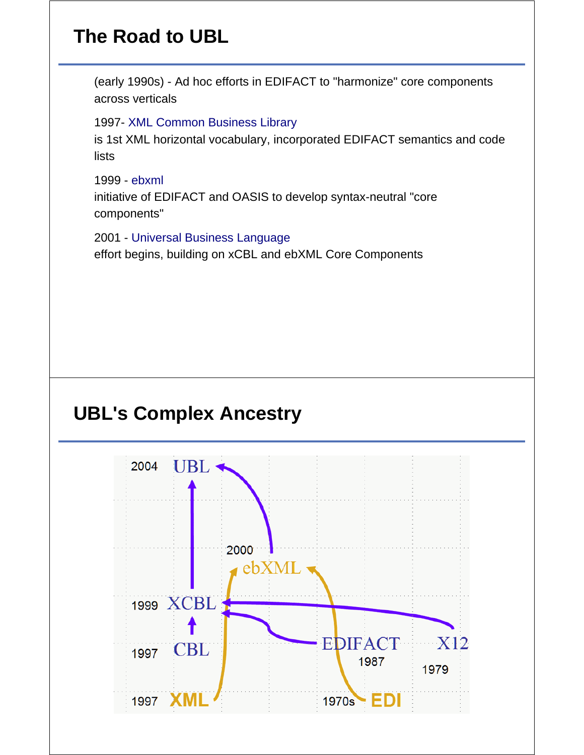# **The Road to UBL**

(early 1990s) - Ad hoc efforts in EDIFACT to "harmonize" core components across verticals

1997- XML Common Business Library

is 1st XML horizontal vocabulary, incorporated EDIFACT semantics and code lists

1999 - ebxml initiative of EDIFACT and OASIS to develop syntax-neutral "core components"

2001 - Universal Business Language effort begins, building on xCBL and ebXML Core Components

## **UBL's Complex Ancestry**

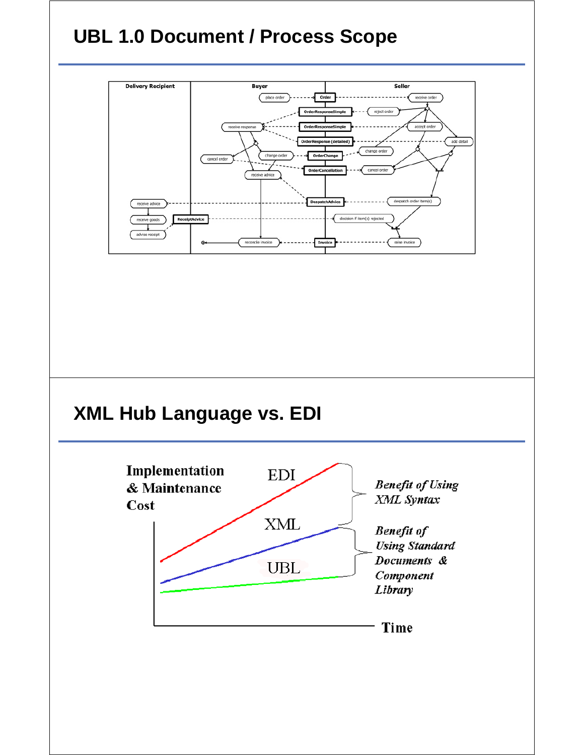# **UBL 1.0 Document / Process Scope**

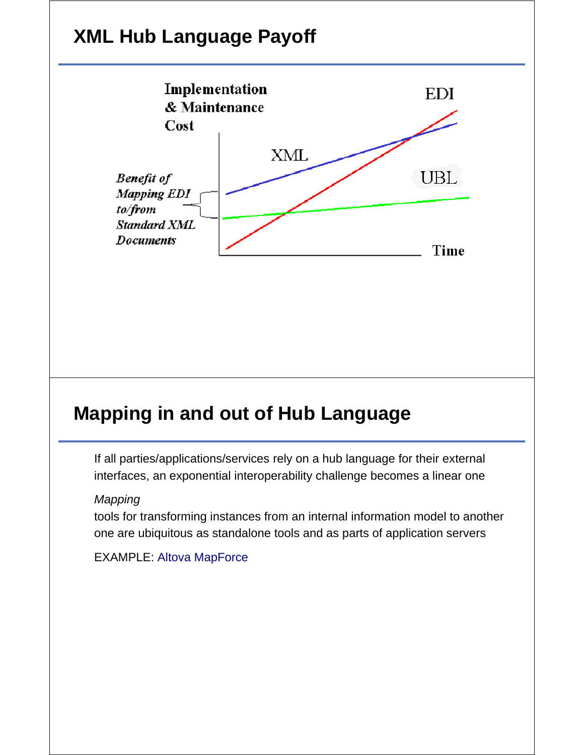# **XML Hub Language Payoff**



# **Mapping in and out of Hub Language**

If all parties/applications/services rely on a hub language for their external interfaces, an exponential interoperability challenge becomes a linear one

#### *Mapping*

tools for transforming instances from an internal information model to another one are ubiquitous as standalone tools and as parts of application servers

#### EXAMPLE: Altova MapForce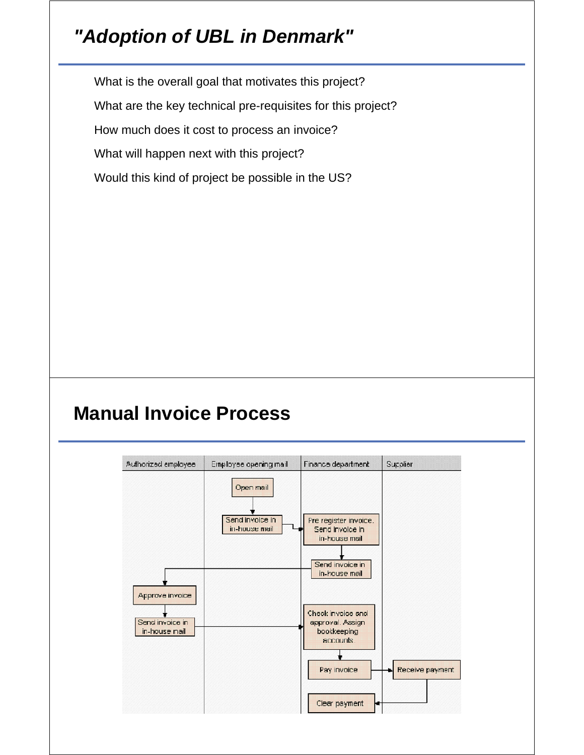# *"Adoption of UBL in Denmark"*

What is the overall goal that motivates this project?

What are the key technical pre-requisites for this project?

How much does it cost to process an invoice?

What will happen next with this project?

Would this kind of project be possible in the US?

## **Manual Invoice Process**

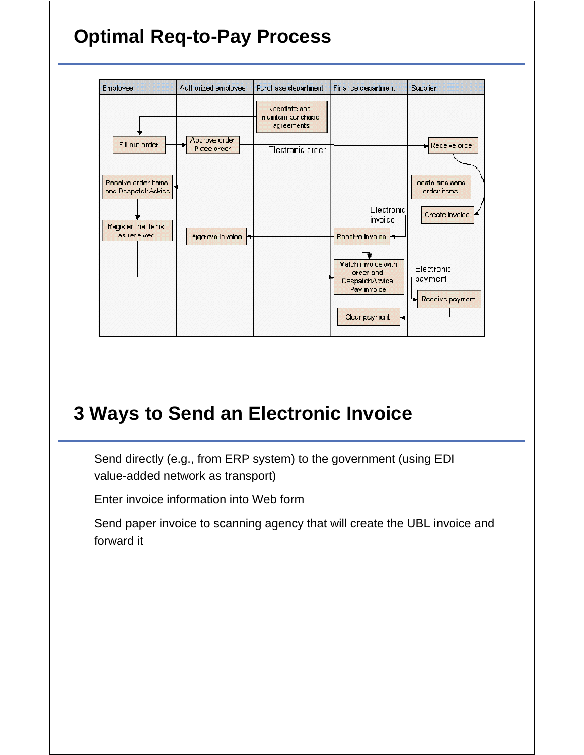# **Optimal Req-to-Pay Process**



## **3 Ways to Send an Electronic Invoice**

Send directly (e.g., from ERP system) to the government (using EDI value-added network as transport)

Enter invoice information into Web form

Send paper invoice to scanning agency that will create the UBL invoice and forward it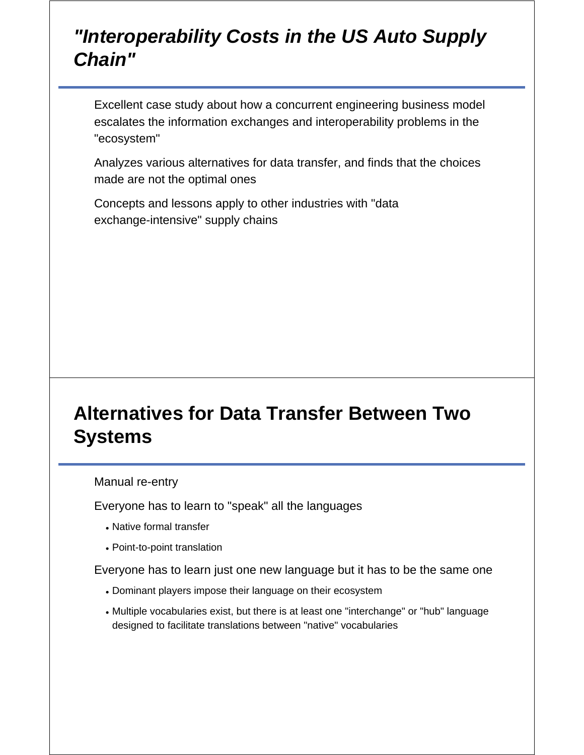#### *"Interoperability Costs in the US Auto Supply Chain"*

Excellent case study about how a concurrent engineering business model escalates the information exchanges and interoperability problems in the "ecosystem"

Analyzes various alternatives for data transfer, and finds that the choices made are not the optimal ones

Concepts and lessons apply to other industries with "data exchange-intensive" supply chains

# **Alternatives for Data Transfer Between Two Systems**

#### Manual re-entry

Everyone has to learn to "speak" all the languages

- Native formal transfer
- Point-to-point translation

Everyone has to learn just one new language but it has to be the same one

- Dominant players impose their language on their ecosystem
- Multiple vocabularies exist, but there is at least one "interchange" or "hub" language designed to facilitate translations between "native" vocabularies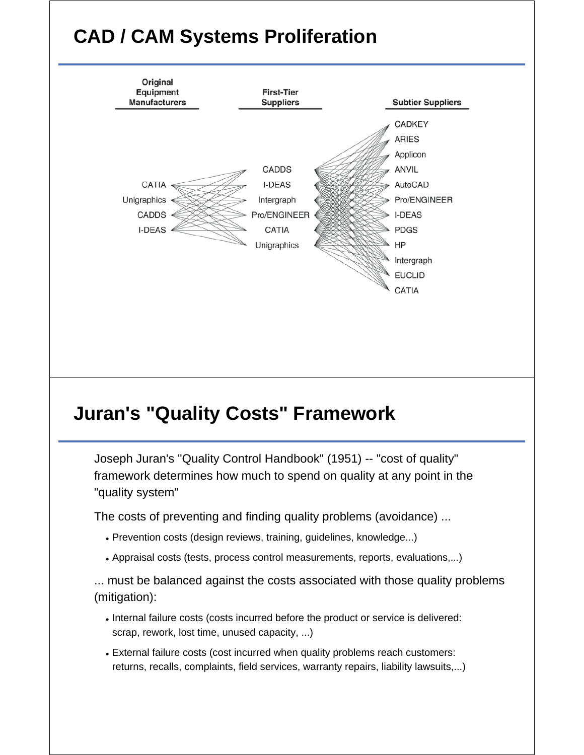# **CAD / CAM Systems Proliferation**



## **Juran's "Quality Costs" Framework**

Joseph Juran's "Quality Control Handbook" (1951) -- "cost of quality" framework determines how much to spend on quality at any point in the "quality system"

The costs of preventing and finding quality problems (avoidance) ...

- Prevention costs (design reviews, training, guidelines, knowledge...)
- Appraisal costs (tests, process control measurements, reports, evaluations,...)

... must be balanced against the costs associated with those quality problems (mitigation):

- . Internal failure costs (costs incurred before the product or service is delivered: scrap, rework, lost time, unused capacity, ...)
- External failure costs (cost incurred when quality problems reach customers: returns, recalls, complaints, field services, warranty repairs, liability lawsuits,...)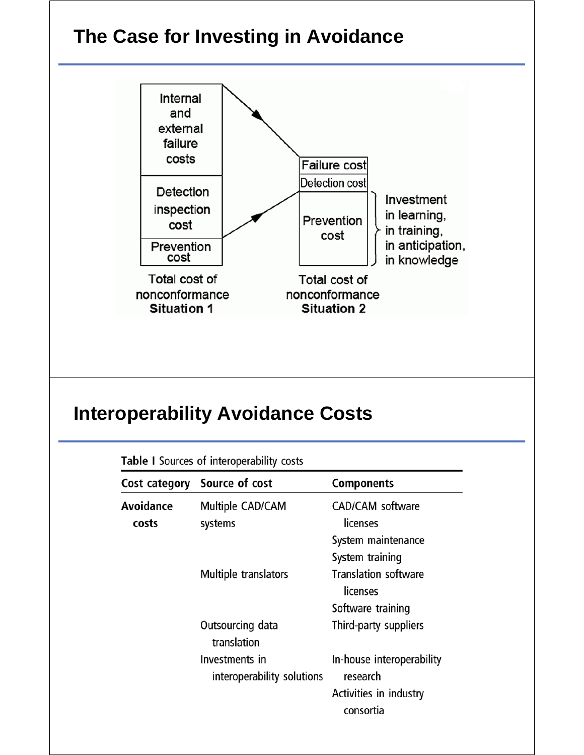

#### **Interoperability Avoidance Costs**

|           | Cost category Source of cost                 | <b>Components</b>                     |  |
|-----------|----------------------------------------------|---------------------------------------|--|
| Avoidance | Multiple CAD/CAM                             | <b>CAD/CAM</b> software               |  |
| costs     | systems                                      | licenses                              |  |
|           |                                              | System maintenance                    |  |
|           |                                              | System training                       |  |
|           | Multiple translators                         | <b>Translation software</b>           |  |
|           |                                              | licenses                              |  |
|           |                                              | Software training                     |  |
|           | Outsourcing data<br>translation              | Third-party suppliers                 |  |
|           | Investments in<br>interoperability solutions | In-house interoperability<br>research |  |
|           |                                              | Activities in industry<br>consortia   |  |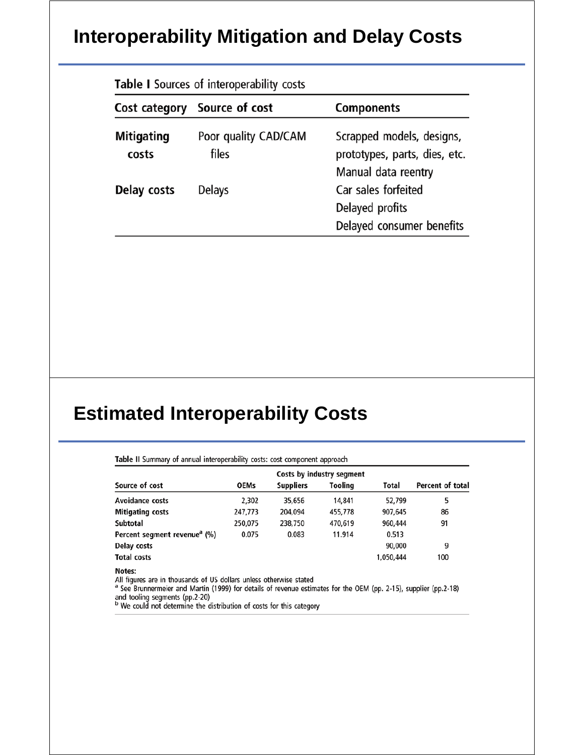## **Interoperability Mitigation and Delay Costs**

| Table I Sources of interoperability costs |                               |                                                                                   |  |  |  |
|-------------------------------------------|-------------------------------|-----------------------------------------------------------------------------------|--|--|--|
|                                           | Cost category Source of cost  | <b>Components</b>                                                                 |  |  |  |
| <b>Mitigating</b><br>costs                | Poor quality CAD/CAM<br>files | Scrapped models, designs,<br>prototypes, parts, dies, etc.<br>Manual data reentry |  |  |  |
| Delay costs                               | Delays                        | Car sales forfeited<br>Delayed profits<br>Delayed consumer benefits               |  |  |  |

## **Estimated Interoperability Costs**

| Source of cost                           | <b>OEMs</b> | <b>Suppliers</b> | Tooling | Total     | Percent of total |
|------------------------------------------|-------------|------------------|---------|-----------|------------------|
| <b>Avoidance costs</b>                   | 2.302       | 35,656           | 14,841  | 52.799    | 5                |
| <b>Mitigating costs</b>                  | 247,773     | 204.094          | 455,778 | 907,645   | 86               |
| Subtotal                                 | 250,075     | 238,750          | 470,619 | 960,444   | 91               |
| Percent segment revenue <sup>a</sup> (%) | 0.075       | 0.083            | 11.914  | 0.513     |                  |
| Delay costs                              |             |                  |         | 90,000    | 9                |
| <b>Total costs</b>                       |             |                  |         | 1,050,444 | 100              |

<sup>a</sup> See Brunnermeier and Martin (1999) for details of revenue estimates for the OEM (pp. 2-15), supplier (pp.2-18) and tooling segments (pp.2-20)<br>
<sup>b</sup> We could not determine the distribution of costs for this category